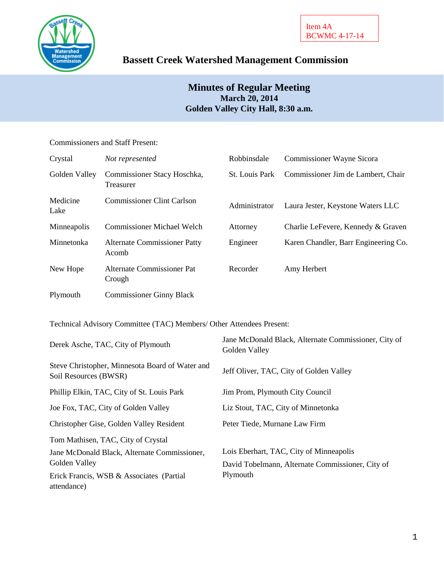

# **Bassett Creek Watershed Management Commission**

## **Minutes of Regular Meeting March 20, 2014 Golden Valley City Hall, 8:30 a.m.**

## Commissioners and Staff Present:

| Crystal          | Not represented                              | Robbinsdale    | <b>Commissioner Wayne Sicora</b>     |
|------------------|----------------------------------------------|----------------|--------------------------------------|
| Golden Valley    | Commissioner Stacy Hoschka,<br>Treasurer     | St. Louis Park | Commissioner Jim de Lambert, Chair   |
| Medicine<br>Lake | <b>Commissioner Clint Carlson</b>            | Administrator  | Laura Jester, Keystone Waters LLC    |
| Minneapolis      | <b>Commissioner Michael Welch</b>            | Attorney       | Charlie LeFevere, Kennedy & Graven   |
| Minnetonka       | <b>Alternate Commissioner Patty</b><br>Acomb | Engineer       | Karen Chandler, Barr Engineering Co. |
| New Hope         | Alternate Commissioner Pat<br>Crough         | Recorder       | Amy Herbert                          |
| Plymouth         | <b>Commissioner Ginny Black</b>              |                |                                      |

Technical Advisory Committee (TAC) Members/ Other Attendees Present:

| Derek Asche, TAC, City of Plymouth                                       | Jane McDonald Black, Alternate Commissioner, City of<br>Golden Valley |  |  |
|--------------------------------------------------------------------------|-----------------------------------------------------------------------|--|--|
| Steve Christopher, Minnesota Board of Water and<br>Soil Resources (BWSR) | Jeff Oliver, TAC, City of Golden Valley                               |  |  |
| Phillip Elkin, TAC, City of St. Louis Park                               | Jim Prom, Plymouth City Council                                       |  |  |
| Joe Fox, TAC, City of Golden Valley                                      | Liz Stout, TAC, City of Minnetonka                                    |  |  |
| Christopher Gise, Golden Valley Resident                                 | Peter Tiede, Murnane Law Firm                                         |  |  |
| Tom Mathisen, TAC, City of Crystal                                       |                                                                       |  |  |
| Jane McDonald Black, Alternate Commissioner,                             | Lois Eberhart, TAC, City of Minneapolis                               |  |  |
| Golden Valley                                                            | David Tobelmann, Alternate Commissioner, City of                      |  |  |
| Erick Francis, WSB & Associates (Partial<br>attendance)                  | Plymouth                                                              |  |  |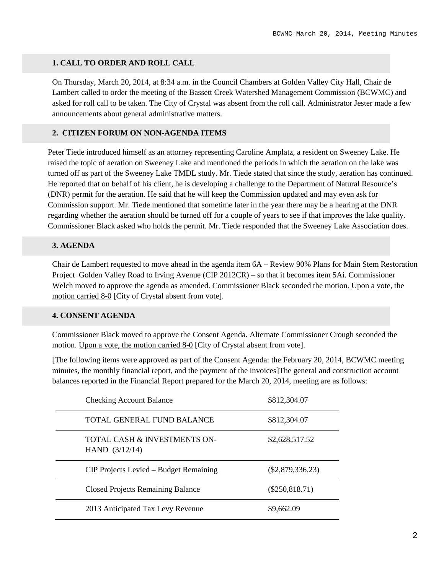## **1. CALL TO ORDER AND ROLL CALL**

On Thursday, March 20, 2014, at 8:34 a.m. in the Council Chambers at Golden Valley City Hall, Chair de Lambert called to order the meeting of the Bassett Creek Watershed Management Commission (BCWMC) and asked for roll call to be taken. The City of Crystal was absent from the roll call. Administrator Jester made a few announcements about general administrative matters.

### **2. CITIZEN FORUM ON NON-AGENDA ITEMS**

Peter Tiede introduced himself as an attorney representing Caroline Amplatz, a resident on Sweeney Lake. He raised the topic of aeration on Sweeney Lake and mentioned the periods in which the aeration on the lake was turned off as part of the Sweeney Lake TMDL study. Mr. Tiede stated that since the study, aeration has continued. He reported that on behalf of his client, he is developing a challenge to the Department of Natural Resource's (DNR) permit for the aeration. He said that he will keep the Commission updated and may even ask for Commission support. Mr. Tiede mentioned that sometime later in the year there may be a hearing at the DNR regarding whether the aeration should be turned off for a couple of years to see if that improves the lake quality. Commissioner Black asked who holds the permit. Mr. Tiede responded that the Sweeney Lake Association does.

#### **3. AGENDA**

Chair de Lambert requested to move ahead in the agenda item 6A – Review 90% Plans for Main Stem Restoration Project Golden Valley Road to Irving Avenue (CIP 2012CR) – so that it becomes item 5Ai. Commissioner Welch moved to approve the agenda as amended. Commissioner Black seconded the motion. Upon a vote, the motion carried 8-0 [City of Crystal absent from vote].

#### **4. CONSENT AGENDA**

Commissioner Black moved to approve the Consent Agenda. Alternate Commissioner Crough seconded the motion. Upon a vote, the motion carried 8-0 [City of Crystal absent from vote].

[The following items were approved as part of the Consent Agenda: the February 20, 2014, BCWMC meeting minutes, the monthly financial report, and the payment of the invoices]The general and construction account balances reported in the Financial Report prepared for the March 20, 2014, meeting are as follows:

| <b>Checking Account Balance</b>                             | \$812,304.07       |
|-------------------------------------------------------------|--------------------|
| TOTAL GENERAL FUND BALANCE                                  | \$812,304.07       |
| <b>TOTAL CASH &amp; INVESTMENTS ON-</b><br>HAND $(3/12/14)$ | \$2,628,517.52     |
| CIP Projects Levied – Budget Remaining                      | $(\$2,879,336.23)$ |
| <b>Closed Projects Remaining Balance</b>                    | $(\$250,818.71)$   |
| 2013 Anticipated Tax Levy Revenue                           | \$9,662.09         |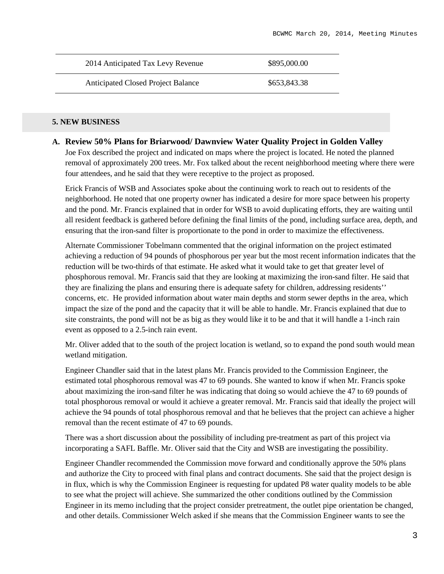| 2014 Anticipated Tax Levy Revenue         | \$895,000.00 |
|-------------------------------------------|--------------|
| <b>Anticipated Closed Project Balance</b> | \$653,843.38 |

## **5. NEW BUSINESS**

#### **A. Review 50% Plans for Briarwood/ Dawnview Water Quality Project in Golden Valley**

Joe Fox described the project and indicated on maps where the project is located. He noted the planned removal of approximately 200 trees. Mr. Fox talked about the recent neighborhood meeting where there were four attendees, and he said that they were receptive to the project as proposed.

Erick Francis of WSB and Associates spoke about the continuing work to reach out to residents of the neighborhood. He noted that one property owner has indicated a desire for more space between his property and the pond. Mr. Francis explained that in order for WSB to avoid duplicating efforts, they are waiting until all resident feedback is gathered before defining the final limits of the pond, including surface area, depth, and ensuring that the iron-sand filter is proportionate to the pond in order to maximize the effectiveness.

Alternate Commissioner Tobelmann commented that the original information on the project estimated achieving a reduction of 94 pounds of phosphorous per year but the most recent information indicates that the reduction will be two-thirds of that estimate. He asked what it would take to get that greater level of phosphorous removal. Mr. Francis said that they are looking at maximizing the iron-sand filter. He said that they are finalizing the plans and ensuring there is adequate safety for children, addressing residents'' concerns, etc. He provided information about water main depths and storm sewer depths in the area, which impact the size of the pond and the capacity that it will be able to handle. Mr. Francis explained that due to site constraints, the pond will not be as big as they would like it to be and that it will handle a 1-inch rain event as opposed to a 2.5-inch rain event.

Mr. Oliver added that to the south of the project location is wetland, so to expand the pond south would mean wetland mitigation.

Engineer Chandler said that in the latest plans Mr. Francis provided to the Commission Engineer, the estimated total phosphorous removal was 47 to 69 pounds. She wanted to know if when Mr. Francis spoke about maximizing the iron-sand filter he was indicating that doing so would achieve the 47 to 69 pounds of total phosphorous removal or would it achieve a greater removal. Mr. Francis said that ideally the project will achieve the 94 pounds of total phosphorous removal and that he believes that the project can achieve a higher removal than the recent estimate of 47 to 69 pounds.

There was a short discussion about the possibility of including pre-treatment as part of this project via incorporating a SAFL Baffle. Mr. Oliver said that the City and WSB are investigating the possibility.

Engineer Chandler recommended the Commission move forward and conditionally approve the 50% plans and authorize the City to proceed with final plans and contract documents. She said that the project design is in flux, which is why the Commission Engineer is requesting for updated P8 water quality models to be able to see what the project will achieve. She summarized the other conditions outlined by the Commission Engineer in its memo including that the project consider pretreatment, the outlet pipe orientation be changed, and other details. Commissioner Welch asked if she means that the Commission Engineer wants to see the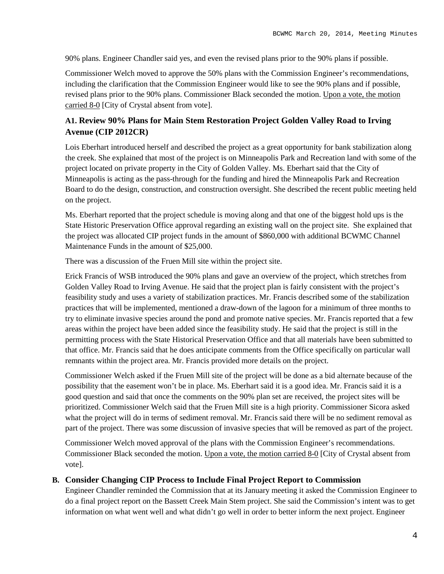90% plans. Engineer Chandler said yes, and even the revised plans prior to the 90% plans if possible.

Commissioner Welch moved to approve the 50% plans with the Commission Engineer's recommendations, including the clarification that the Commission Engineer would like to see the 90% plans and if possible, revised plans prior to the 90% plans. Commissioner Black seconded the motion. Upon a vote, the motion carried 8-0 [City of Crystal absent from vote].

## **A1. Review 90% Plans for Main Stem Restoration Project Golden Valley Road to Irving Avenue (CIP 2012CR)**

Lois Eberhart introduced herself and described the project as a great opportunity for bank stabilization along the creek. She explained that most of the project is on Minneapolis Park and Recreation land with some of the project located on private property in the City of Golden Valley. Ms. Eberhart said that the City of Minneapolis is acting as the pass-through for the funding and hired the Minneapolis Park and Recreation Board to do the design, construction, and construction oversight. She described the recent public meeting held on the project.

Ms. Eberhart reported that the project schedule is moving along and that one of the biggest hold ups is the State Historic Preservation Office approval regarding an existing wall on the project site. She explained that the project was allocated CIP project funds in the amount of \$860,000 with additional BCWMC Channel Maintenance Funds in the amount of \$25,000.

There was a discussion of the Fruen Mill site within the project site.

Erick Francis of WSB introduced the 90% plans and gave an overview of the project, which stretches from Golden Valley Road to Irving Avenue. He said that the project plan is fairly consistent with the project's feasibility study and uses a variety of stabilization practices. Mr. Francis described some of the stabilization practices that will be implemented, mentioned a draw-down of the lagoon for a minimum of three months to try to eliminate invasive species around the pond and promote native species. Mr. Francis reported that a few areas within the project have been added since the feasibility study. He said that the project is still in the permitting process with the State Historical Preservation Office and that all materials have been submitted to that office. Mr. Francis said that he does anticipate comments from the Office specifically on particular wall remnants within the project area. Mr. Francis provided more details on the project.

Commissioner Welch asked if the Fruen Mill site of the project will be done as a bid alternate because of the possibility that the easement won't be in place. Ms. Eberhart said it is a good idea. Mr. Francis said it is a good question and said that once the comments on the 90% plan set are received, the project sites will be prioritized. Commissioner Welch said that the Fruen Mill site is a high priority. Commissioner Sicora asked what the project will do in terms of sediment removal. Mr. Francis said there will be no sediment removal as part of the project. There was some discussion of invasive species that will be removed as part of the project.

Commissioner Welch moved approval of the plans with the Commission Engineer's recommendations. Commissioner Black seconded the motion. Upon a vote, the motion carried 8-0 [City of Crystal absent from vote].

#### **B. Consider Changing CIP Process to Include Final Project Report to Commission**

Engineer Chandler reminded the Commission that at its January meeting it asked the Commission Engineer to do a final project report on the Bassett Creek Main Stem project. She said the Commission's intent was to get information on what went well and what didn't go well in order to better inform the next project. Engineer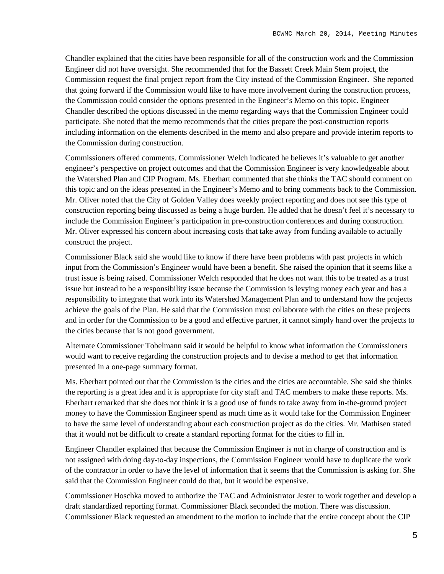Chandler explained that the cities have been responsible for all of the construction work and the Commission Engineer did not have oversight. She recommended that for the Bassett Creek Main Stem project, the Commission request the final project report from the City instead of the Commission Engineer. She reported that going forward if the Commission would like to have more involvement during the construction process, the Commission could consider the options presented in the Engineer's Memo on this topic. Engineer Chandler described the options discussed in the memo regarding ways that the Commission Engineer could participate. She noted that the memo recommends that the cities prepare the post-construction reports including information on the elements described in the memo and also prepare and provide interim reports to the Commission during construction.

Commissioners offered comments. Commissioner Welch indicated he believes it's valuable to get another engineer's perspective on project outcomes and that the Commission Engineer is very knowledgeable about the Watershed Plan and CIP Program. Ms. Eberhart commented that she thinks the TAC should comment on this topic and on the ideas presented in the Engineer's Memo and to bring comments back to the Commission. Mr. Oliver noted that the City of Golden Valley does weekly project reporting and does not see this type of construction reporting being discussed as being a huge burden. He added that he doesn't feel it's necessary to include the Commission Engineer's participation in pre-construction conferences and during construction. Mr. Oliver expressed his concern about increasing costs that take away from funding available to actually construct the project.

Commissioner Black said she would like to know if there have been problems with past projects in which input from the Commission's Engineer would have been a benefit. She raised the opinion that it seems like a trust issue is being raised. Commissioner Welch responded that he does not want this to be treated as a trust issue but instead to be a responsibility issue because the Commission is levying money each year and has a responsibility to integrate that work into its Watershed Management Plan and to understand how the projects achieve the goals of the Plan. He said that the Commission must collaborate with the cities on these projects and in order for the Commission to be a good and effective partner, it cannot simply hand over the projects to the cities because that is not good government.

Alternate Commissioner Tobelmann said it would be helpful to know what information the Commissioners would want to receive regarding the construction projects and to devise a method to get that information presented in a one-page summary format.

Ms. Eberhart pointed out that the Commission is the cities and the cities are accountable. She said she thinks the reporting is a great idea and it is appropriate for city staff and TAC members to make these reports. Ms. Eberhart remarked that she does not think it is a good use of funds to take away from in-the-ground project money to have the Commission Engineer spend as much time as it would take for the Commission Engineer to have the same level of understanding about each construction project as do the cities. Mr. Mathisen stated that it would not be difficult to create a standard reporting format for the cities to fill in.

Engineer Chandler explained that because the Commission Engineer is not in charge of construction and is not assigned with doing day-to-day inspections, the Commission Engineer would have to duplicate the work of the contractor in order to have the level of information that it seems that the Commission is asking for. She said that the Commission Engineer could do that, but it would be expensive.

Commissioner Hoschka moved to authorize the TAC and Administrator Jester to work together and develop a draft standardized reporting format. Commissioner Black seconded the motion. There was discussion. Commissioner Black requested an amendment to the motion to include that the entire concept about the CIP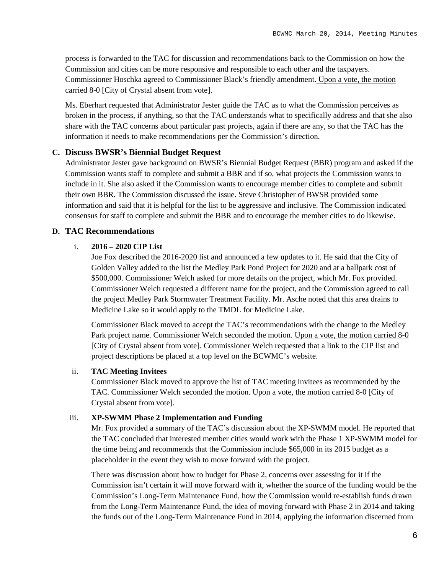process is forwarded to the TAC for discussion and recommendations back to the Commission on how the Commission and cities can be more responsive and responsible to each other and the taxpayers. Commissioner Hoschka agreed to Commissioner Black's friendly amendment. Upon a vote, the motion carried 8-0 [City of Crystal absent from vote].

Ms. Eberhart requested that Administrator Jester guide the TAC as to what the Commission perceives as broken in the process, if anything, so that the TAC understands what to specifically address and that she also share with the TAC concerns about particular past projects, again if there are any, so that the TAC has the information it needs to make recommendations per the Commission's direction.

## **C. Discuss BWSR's Biennial Budget Request**

Administrator Jester gave background on BWSR's Biennial Budget Request (BBR) program and asked if the Commission wants staff to complete and submit a BBR and if so, what projects the Commission wants to include in it. She also asked if the Commission wants to encourage member cities to complete and submit their own BBR. The Commission discussed the issue. Steve Christopher of BWSR provided some information and said that it is helpful for the list to be aggressive and inclusive. The Commission indicated consensus for staff to complete and submit the BBR and to encourage the member cities to do likewise.

## **D. TAC Recommendations**

## i. **2016 – 2020 CIP List**

Joe Fox described the 2016-2020 list and announced a few updates to it. He said that the City of Golden Valley added to the list the Medley Park Pond Project for 2020 and at a ballpark cost of \$500,000. Commissioner Welch asked for more details on the project, which Mr. Fox provided. Commissioner Welch requested a different name for the project, and the Commission agreed to call the project Medley Park Stormwater Treatment Facility. Mr. Asche noted that this area drains to Medicine Lake so it would apply to the TMDL for Medicine Lake.

Commissioner Black moved to accept the TAC's recommendations with the change to the Medley Park project name. Commissioner Welch seconded the motion. Upon a vote, the motion carried 8-0 [City of Crystal absent from vote]. Commissioner Welch requested that a link to the CIP list and project descriptions be placed at a top level on the BCWMC's website.

#### ii. **TAC Meeting Invitees**

Commissioner Black moved to approve the list of TAC meeting invitees as recommended by the TAC. Commissioner Welch seconded the motion. Upon a vote, the motion carried 8-0 [City of Crystal absent from vote].

### iii. **XP-SWMM Phase 2 Implementation and Funding**

Mr. Fox provided a summary of the TAC's discussion about the XP-SWMM model. He reported that the TAC concluded that interested member cities would work with the Phase 1 XP-SWMM model for the time being and recommends that the Commission include \$65,000 in its 2015 budget as a placeholder in the event they wish to move forward with the project.

There was discussion about how to budget for Phase 2, concerns over assessing for it if the Commission isn't certain it will move forward with it, whether the source of the funding would be the Commission's Long-Term Maintenance Fund, how the Commission would re-establish funds drawn from the Long-Term Maintenance Fund, the idea of moving forward with Phase 2 in 2014 and taking the funds out of the Long-Term Maintenance Fund in 2014, applying the information discerned from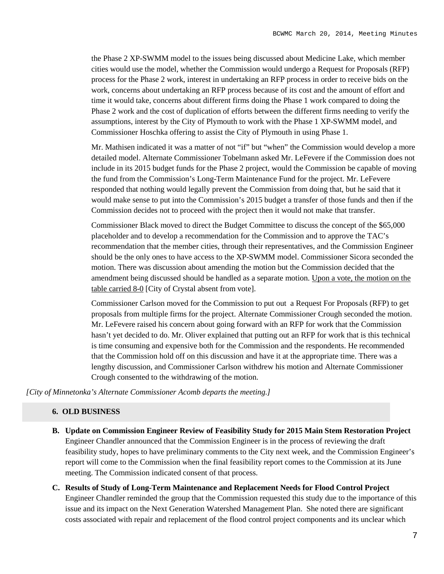the Phase 2 XP-SWMM model to the issues being discussed about Medicine Lake, which member cities would use the model, whether the Commission would undergo a Request for Proposals (RFP) process for the Phase 2 work, interest in undertaking an RFP process in order to receive bids on the work, concerns about undertaking an RFP process because of its cost and the amount of effort and time it would take, concerns about different firms doing the Phase 1 work compared to doing the Phase 2 work and the cost of duplication of efforts between the different firms needing to verify the assumptions, interest by the City of Plymouth to work with the Phase 1 XP-SWMM model, and Commissioner Hoschka offering to assist the City of Plymouth in using Phase 1.

Mr. Mathisen indicated it was a matter of not "if" but "when" the Commission would develop a more detailed model. Alternate Commissioner Tobelmann asked Mr. LeFevere if the Commission does not include in its 2015 budget funds for the Phase 2 project, would the Commission be capable of moving the fund from the Commission's Long-Term Maintenance Fund for the project. Mr. LeFevere responded that nothing would legally prevent the Commission from doing that, but he said that it would make sense to put into the Commission's 2015 budget a transfer of those funds and then if the Commission decides not to proceed with the project then it would not make that transfer.

Commissioner Black moved to direct the Budget Committee to discuss the concept of the \$65,000 placeholder and to develop a recommendation for the Commission and to approve the TAC's recommendation that the member cities, through their representatives, and the Commission Engineer should be the only ones to have access to the XP-SWMM model. Commissioner Sicora seconded the motion. There was discussion about amending the motion but the Commission decided that the amendment being discussed should be handled as a separate motion. Upon a vote, the motion on the table carried 8-0 [City of Crystal absent from vote].

Commissioner Carlson moved for the Commission to put out a Request For Proposals (RFP) to get proposals from multiple firms for the project. Alternate Commissioner Crough seconded the motion. Mr. LeFevere raised his concern about going forward with an RFP for work that the Commission hasn't yet decided to do. Mr. Oliver explained that putting out an RFP for work that is this technical is time consuming and expensive both for the Commission and the respondents. He recommended that the Commission hold off on this discussion and have it at the appropriate time. There was a lengthy discussion, and Commissioner Carlson withdrew his motion and Alternate Commissioner Crough consented to the withdrawing of the motion.

*[City of Minnetonka's Alternate Commissioner Acomb departs the meeting.]*

#### **6. OLD BUSINESS**

- **B. Update on Commission Engineer Review of Feasibility Study for 2015 Main Stem Restoration Project** Engineer Chandler announced that the Commission Engineer is in the process of reviewing the draft feasibility study, hopes to have preliminary comments to the City next week, and the Commission Engineer's report will come to the Commission when the final feasibility report comes to the Commission at its June meeting. The Commission indicated consent of that process.
- **C. Results of Study of Long-Term Maintenance and Replacement Needs for Flood Control Project** Engineer Chandler reminded the group that the Commission requested this study due to the importance of this issue and its impact on the Next Generation Watershed Management Plan. She noted there are significant costs associated with repair and replacement of the flood control project components and its unclear which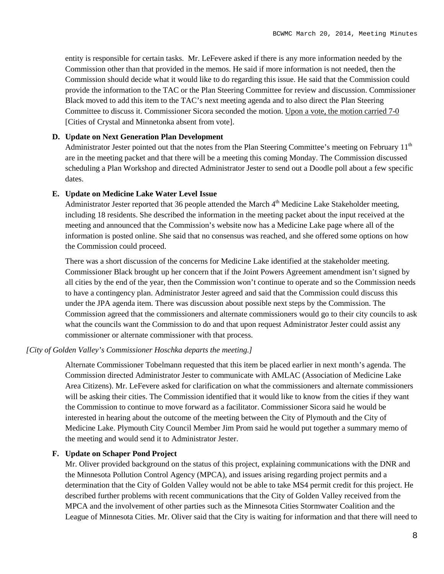entity is responsible for certain tasks. Mr. LeFevere asked if there is any more information needed by the Commission other than that provided in the memos. He said if more information is not needed, then the Commission should decide what it would like to do regarding this issue. He said that the Commission could provide the information to the TAC or the Plan Steering Committee for review and discussion. Commissioner Black moved to add this item to the TAC's next meeting agenda and to also direct the Plan Steering Committee to discuss it. Commissioner Sicora seconded the motion. Upon a vote, the motion carried 7-0 [Cities of Crystal and Minnetonka absent from vote].

#### **D. Update on Next Generation Plan Development**

Administrator Jester pointed out that the notes from the Plan Steering Committee's meeting on February 11<sup>th</sup> are in the meeting packet and that there will be a meeting this coming Monday. The Commission discussed scheduling a Plan Workshop and directed Administrator Jester to send out a Doodle poll about a few specific dates.

#### **E. Update on Medicine Lake Water Level Issue**

Administrator Jester reported that 36 people attended the March  $4<sup>th</sup>$  Medicine Lake Stakeholder meeting, including 18 residents. She described the information in the meeting packet about the input received at the meeting and announced that the Commission's website now has a Medicine Lake page where all of the information is posted online. She said that no consensus was reached, and she offered some options on how the Commission could proceed.

There was a short discussion of the concerns for Medicine Lake identified at the stakeholder meeting. Commissioner Black brought up her concern that if the Joint Powers Agreement amendment isn't signed by all cities by the end of the year, then the Commission won't continue to operate and so the Commission needs to have a contingency plan. Administrator Jester agreed and said that the Commission could discuss this under the JPA agenda item. There was discussion about possible next steps by the Commission. The Commission agreed that the commissioners and alternate commissioners would go to their city councils to ask what the councils want the Commission to do and that upon request Administrator Jester could assist any commissioner or alternate commissioner with that process.

#### *[City of Golden Valley's Commissioner Hoschka departs the meeting.]*

Alternate Commissioner Tobelmann requested that this item be placed earlier in next month's agenda. The Commission directed Administrator Jester to communicate with AMLAC (Association of Medicine Lake Area Citizens). Mr. LeFevere asked for clarification on what the commissioners and alternate commissioners will be asking their cities. The Commission identified that it would like to know from the cities if they want the Commission to continue to move forward as a facilitator. Commissioner Sicora said he would be interested in hearing about the outcome of the meeting between the City of Plymouth and the City of Medicine Lake. Plymouth City Council Member Jim Prom said he would put together a summary memo of the meeting and would send it to Administrator Jester.

### **F. Update on Schaper Pond Project**

Mr. Oliver provided background on the status of this project, explaining communications with the DNR and the Minnesota Pollution Control Agency (MPCA), and issues arising regarding project permits and a determination that the City of Golden Valley would not be able to take MS4 permit credit for this project. He described further problems with recent communications that the City of Golden Valley received from the MPCA and the involvement of other parties such as the Minnesota Cities Stormwater Coalition and the League of Minnesota Cities. Mr. Oliver said that the City is waiting for information and that there will need to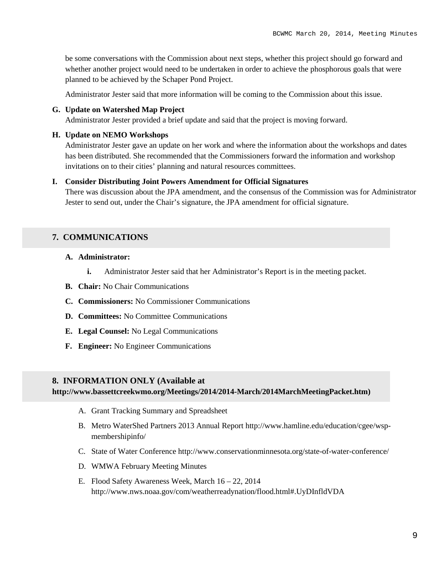be some conversations with the Commission about next steps, whether this project should go forward and whether another project would need to be undertaken in order to achieve the phosphorous goals that were planned to be achieved by the Schaper Pond Project.

Administrator Jester said that more information will be coming to the Commission about this issue.

## **G. Update on Watershed Map Project**

Administrator Jester provided a brief update and said that the project is moving forward.

#### **H. Update on NEMO Workshops**

Administrator Jester gave an update on her work and where the information about the workshops and dates has been distributed. She recommended that the Commissioners forward the information and workshop invitations on to their cities' planning and natural resources committees.

#### **I. Consider Distributing Joint Powers Amendment for Official Signatures**

There was discussion about the JPA amendment, and the consensus of the Commission was for Administrator Jester to send out, under the Chair's signature, the JPA amendment for official signature.

## **7. COMMUNICATIONS**

#### **A. Administrator:**

- **i.** Administrator Jester said that her Administrator's Report is in the meeting packet.
- **B. Chair:** No Chair Communications
- **C. Commissioners:** No Commissioner Communications
- **D. Committees:** No Committee Communications
- **E. Legal Counsel:** No Legal Communications
- **F. Engineer:** No Engineer Communications

#### **8. INFORMATION ONLY (Available at**

**http://www.bassettcreekwmo.org/Meetings/2014/2014-March/2014MarchMeetingPacket.htm)**

- A. Grant Tracking Summary and Spreadsheet
- B. Metro WaterShed Partners 2013 Annual Report http://www.hamline.edu/education/cgee/wspmembershipinfo/
- C. State of Water Conference http://www.conservationminnesota.org/state-of-water-conference/
- D. WMWA February Meeting Minutes
- E. Flood Safety Awareness Week, March 16 22, 2014 http://www.nws.noaa.gov/com/weatherreadynation/flood.html#.UyDInfldVDA